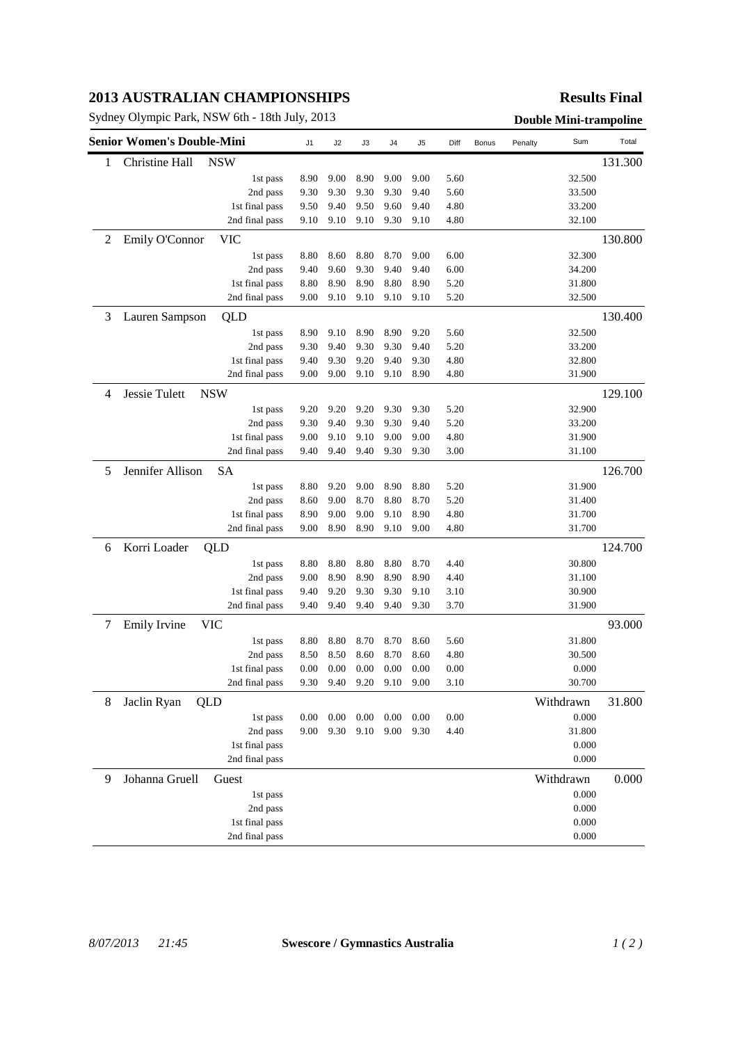## **2013 AUSTRALIAN CHAMPIONSHIPS**

Sydney Olympic Park, NSW 6th - 18th July, 2013<br> **Double Mini-trampoline** 

## **Results Final**

| <b>Senior Women's Double-Mini</b> |                                    |                | J1   | J2       | J3   | J4   | J5   | Diff | Bonus | Penalty   | Sum    | Total   |
|-----------------------------------|------------------------------------|----------------|------|----------|------|------|------|------|-------|-----------|--------|---------|
| 1                                 | Christine Hall                     | <b>NSW</b>     |      |          |      |      |      |      |       |           |        | 131.300 |
|                                   |                                    | 1st pass       | 8.90 | 9.00     | 8.90 | 9.00 | 9.00 | 5.60 |       |           | 32.500 |         |
|                                   |                                    | 2nd pass       | 9.30 | 9.30     | 9.30 | 9.30 | 9.40 | 5.60 |       |           | 33.500 |         |
|                                   |                                    | 1st final pass | 9.50 | 9.40     | 9.50 | 9.60 | 9.40 | 4.80 |       |           | 33.200 |         |
|                                   |                                    | 2nd final pass | 9.10 | 9.10     | 9.10 | 9.30 | 9.10 | 4.80 |       |           | 32.100 |         |
| 2                                 | Emily O'Connor                     | <b>VIC</b>     |      |          |      |      |      |      |       |           |        | 130.800 |
|                                   |                                    | 1st pass       | 8.80 | 8.60     | 8.80 | 8.70 | 9.00 | 6.00 |       |           | 32.300 |         |
|                                   |                                    | 2nd pass       | 9.40 | 9.60     | 9.30 | 9.40 | 9.40 | 6.00 |       |           | 34.200 |         |
|                                   |                                    | 1st final pass | 8.80 | 8.90     | 8.90 | 8.80 | 8.90 | 5.20 |       |           | 31.800 |         |
|                                   |                                    | 2nd final pass | 9.00 | 9.10     | 9.10 | 9.10 | 9.10 | 5.20 |       |           | 32.500 |         |
| 3                                 | Lauren Sampson                     | QLD            |      |          |      |      |      |      |       |           |        | 130.400 |
|                                   |                                    | 1st pass       | 8.90 | 9.10     | 8.90 | 8.90 | 9.20 | 5.60 |       |           | 32.500 |         |
|                                   |                                    | 2nd pass       | 9.30 | 9.40     | 9.30 | 9.30 | 9.40 | 5.20 |       |           | 33.200 |         |
|                                   |                                    | 1st final pass | 9.40 | 9.30     | 9.20 | 9.40 | 9.30 | 4.80 |       |           | 32.800 |         |
|                                   |                                    | 2nd final pass | 9.00 | 9.00     | 9.10 | 9.10 | 8.90 | 4.80 |       |           | 31.900 |         |
| 4                                 | <b>Jessie Tulett</b><br><b>NSW</b> |                |      |          |      |      |      |      |       |           |        | 129.100 |
|                                   |                                    | 1st pass       | 9.20 | 9.20     | 9.20 | 9.30 | 9.30 | 5.20 |       |           | 32.900 |         |
|                                   |                                    | 2nd pass       | 9.30 | 9.40     | 9.30 | 9.30 | 9.40 | 5.20 |       |           | 33.200 |         |
|                                   |                                    | 1st final pass | 9.00 | 9.10     | 9.10 | 9.00 | 9.00 | 4.80 |       |           | 31.900 |         |
|                                   |                                    | 2nd final pass | 9.40 | 9.40     | 9.40 | 9.30 | 9.30 | 3.00 |       |           | 31.100 |         |
| 5                                 | Jennifer Allison<br><b>SA</b>      |                |      |          |      |      |      |      |       |           |        | 126.700 |
|                                   |                                    | 1st pass       | 8.80 | 9.20     | 9.00 | 8.90 | 8.80 | 5.20 |       |           | 31.900 |         |
|                                   |                                    | 2nd pass       | 8.60 | 9.00     | 8.70 | 8.80 | 8.70 | 5.20 |       |           | 31.400 |         |
|                                   |                                    | 1st final pass | 8.90 | 9.00     | 9.00 | 9.10 | 8.90 | 4.80 |       |           | 31.700 |         |
|                                   |                                    | 2nd final pass | 9.00 | 8.90     | 8.90 | 9.10 | 9.00 | 4.80 |       |           | 31.700 |         |
| 6                                 | Korri Loader                       | QLD            |      |          |      |      |      |      |       |           |        | 124.700 |
|                                   |                                    | 1st pass       | 8.80 | 8.80     | 8.80 | 8.80 | 8.70 | 4.40 |       |           | 30.800 |         |
|                                   |                                    | 2nd pass       | 9.00 | 8.90     | 8.90 | 8.90 | 8.90 | 4.40 |       |           | 31.100 |         |
|                                   |                                    | 1st final pass | 9.40 | 9.20     | 9.30 | 9.30 | 9.10 | 3.10 |       |           | 30.900 |         |
|                                   |                                    | 2nd final pass | 9.40 | 9.40     | 9.40 | 9.40 | 9.30 | 3.70 |       |           | 31.900 |         |
| 7                                 | Emily Irvine                       | <b>VIC</b>     |      |          |      |      |      |      |       |           |        | 93.000  |
|                                   |                                    | 1st pass       | 8.80 | 8.80     | 8.70 | 8.70 | 8.60 | 5.60 |       |           | 31.800 |         |
|                                   |                                    | 2nd pass       | 8.50 | 8.50     | 8.60 | 8.70 | 8.60 | 4.80 |       |           | 30.500 |         |
|                                   |                                    | 1st final pass | 0.00 | 0.00     | 0.00 | 0.00 | 0.00 | 0.00 |       |           | 0.000  |         |
|                                   |                                    | 2nd final pass | 9.30 | 9.40     | 9.20 | 9.10 | 9.00 | 3.10 |       |           | 30.700 |         |
| 8                                 | Jaclin Ryan                        | QLD            |      |          |      |      |      |      |       | Withdrawn |        | 31.800  |
|                                   |                                    | 1st pass       | 0.00 | $0.00\,$ | 0.00 | 0.00 | 0.00 | 0.00 |       |           | 0.000  |         |
|                                   |                                    | 2nd pass       | 9.00 | 9.30     | 9.10 | 9.00 | 9.30 | 4.40 |       |           | 31.800 |         |
|                                   |                                    | 1st final pass |      |          |      |      |      |      |       |           | 0.000  |         |
|                                   |                                    | 2nd final pass |      |          |      |      |      |      |       |           | 0.000  |         |
| 9                                 | Johanna Gruell                     | Guest          |      |          |      |      |      |      |       | Withdrawn |        | 0.000   |
|                                   |                                    | 1st pass       |      |          |      |      |      |      |       |           | 0.000  |         |
|                                   |                                    | 2nd pass       |      |          |      |      |      |      |       |           | 0.000  |         |
|                                   |                                    | 1st final pass |      |          |      |      |      |      |       |           | 0.000  |         |
|                                   |                                    | 2nd final pass |      |          |      |      |      |      |       |           | 0.000  |         |